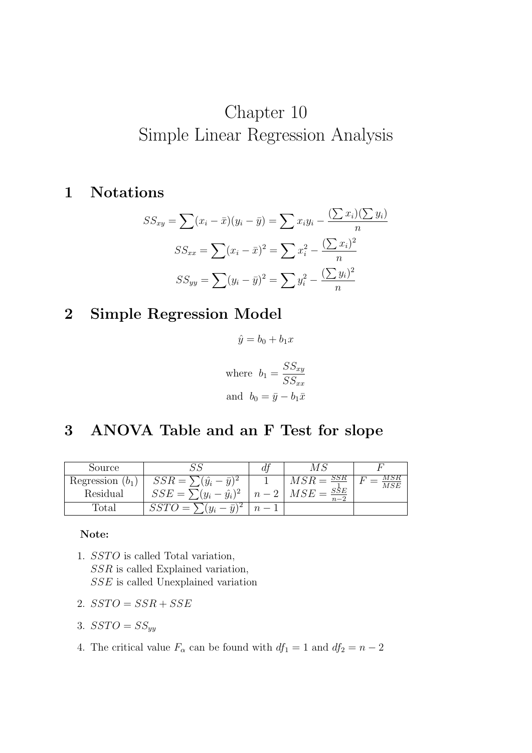# Chapter 10 Simple Linear Regression Analysis

### 1 Notations

$$
SS_{xy} = \sum (x_i - \bar{x})(y_i - \bar{y}) = \sum x_i y_i - \frac{(\sum x_i)(\sum y_i)}{n}
$$

$$
SS_{xx} = \sum (x_i - \bar{x})^2 = \sum x_i^2 - \frac{(\sum x_i)^2}{n}
$$

$$
SS_{yy} = \sum (y_i - \bar{y})^2 = \sum y_i^2 - \frac{(\sum y_i)^2}{n}
$$

## 2 Simple Regression Model

$$
\hat{y} = b_0 + b_1 x
$$
  
where  $b_1 = \frac{SS_{xy}}{SS_{xx}}$   
and  $b_0 = \bar{y} - b_1 \bar{x}$ 

## 3 ANOVA Table and an F Test for slope

| Source             |                               | $\,a$ |       |  |
|--------------------|-------------------------------|-------|-------|--|
| Regression $(b_1)$ | $SSR = \sum$                  |       |       |  |
| Residual           | $(\hat{y}_i)^2$<br>SSE<br>$=$ |       | $n-2$ |  |
| Total              | $=$                           |       |       |  |

#### Note:

- 1. SSTO is called Total variation, SSR is called Explained variation, SSE is called Unexplained variation
- 2.  $SSTO = SSR + SSE$
- 3.  $SSTO = SS_{yy}$
- 4. The critical value  $F_{\alpha}$  can be found with  $df_1 = 1$  and  $df_2 = n 2$